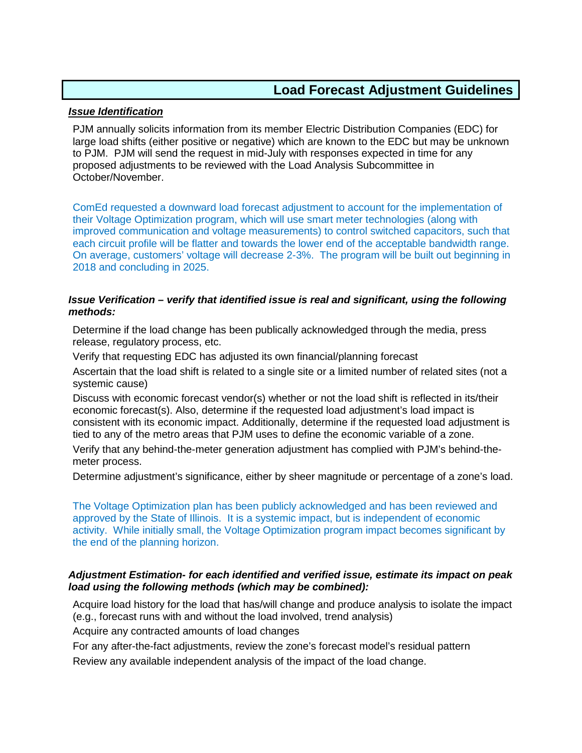## *Issue Identification*

PJM annually solicits information from its member Electric Distribution Companies (EDC) for large load shifts (either positive or negative) which are known to the EDC but may be unknown to PJM. PJM will send the request in mid-July with responses expected in time for any proposed adjustments to be reviewed with the Load Analysis Subcommittee in October/November.

ComEd requested a downward load forecast adjustment to account for the implementation of their Voltage Optimization program, which will use smart meter technologies (along with improved communication and voltage measurements) to control switched capacitors, such that each circuit profile will be flatter and towards the lower end of the acceptable bandwidth range. On average, customers' voltage will decrease 2-3%. The program will be built out beginning in 2018 and concluding in 2025.

## *Issue Verification – verify that identified issue is real and significant, using the following methods:*

Determine if the load change has been publically acknowledged through the media, press release, regulatory process, etc.

Verify that requesting EDC has adjusted its own financial/planning forecast

Ascertain that the load shift is related to a single site or a limited number of related sites (not a systemic cause)

Discuss with economic forecast vendor(s) whether or not the load shift is reflected in its/their economic forecast(s). Also, determine if the requested load adjustment's load impact is consistent with its economic impact. Additionally, determine if the requested load adjustment is tied to any of the metro areas that PJM uses to define the economic variable of a zone.

Verify that any behind-the-meter generation adjustment has complied with PJM's behind-themeter process.

Determine adjustment's significance, either by sheer magnitude or percentage of a zone's load.

The Voltage Optimization plan has been publicly acknowledged and has been reviewed and approved by the State of Illinois. It is a systemic impact, but is independent of economic activity. While initially small, the Voltage Optimization program impact becomes significant by the end of the planning horizon.

## *Adjustment Estimation- for each identified and verified issue, estimate its impact on peak load using the following methods (which may be combined):*

Acquire load history for the load that has/will change and produce analysis to isolate the impact (e.g., forecast runs with and without the load involved, trend analysis)

Acquire any contracted amounts of load changes

For any after-the-fact adjustments, review the zone's forecast model's residual pattern

Review any available independent analysis of the impact of the load change.